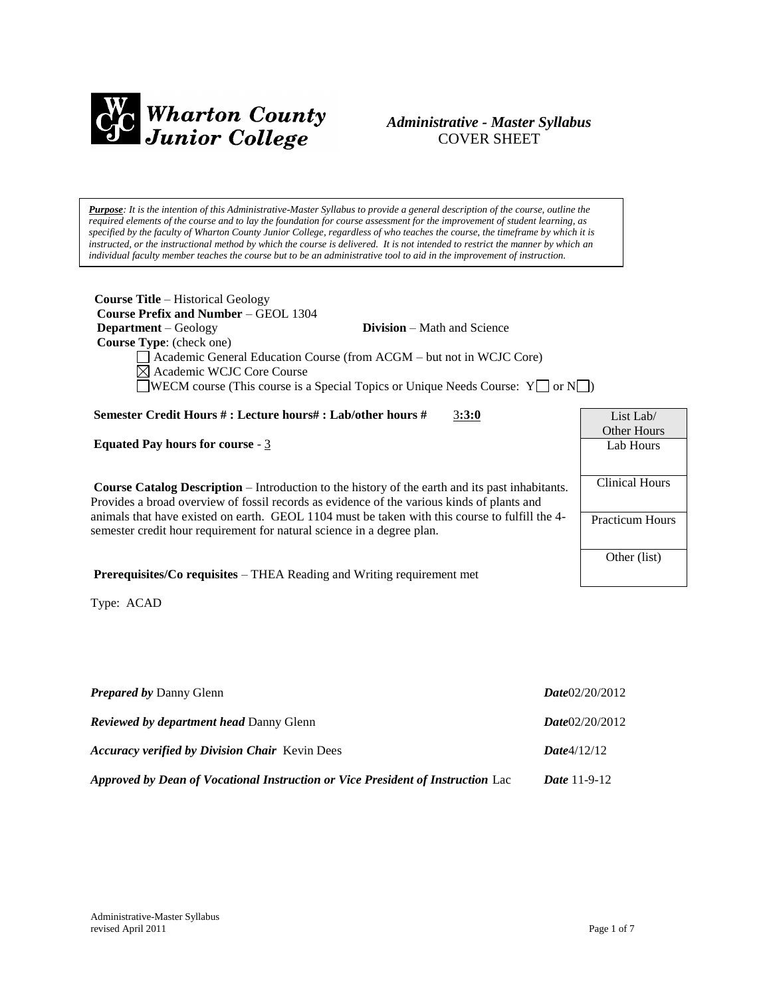

## *Administrative - Master Syllabus*  COVER SHEET

*Purpose: It is the intention of this Administrative-Master Syllabus to provide a general description of the course, outline the required elements of the course and to lay the foundation for course assessment for the improvement of student learning, as specified by the faculty of Wharton County Junior College, regardless of who teaches the course, the timeframe by which it is instructed, or the instructional method by which the course is delivered. It is not intended to restrict the manner by which an individual faculty member teaches the course but to be an administrative tool to aid in the improvement of instruction.*

| <b>Course Title – Historical Geology</b><br><b>Course Prefix and Number – GEOL 1304</b>                |                        |  |  |  |  |
|--------------------------------------------------------------------------------------------------------|------------------------|--|--|--|--|
| <b>Division</b> – Math and Science<br><b>Department</b> – Geology                                      |                        |  |  |  |  |
| Course Type: (check one)                                                                               |                        |  |  |  |  |
| Academic General Education Course (from ACGM - but not in WCJC Core)                                   |                        |  |  |  |  |
| Academic WCJC Core Course                                                                              |                        |  |  |  |  |
| <b>WECM</b> course (This course is a Special Topics or Unique Needs Course: $Y \cup Y$ or $N \cup Y$   |                        |  |  |  |  |
|                                                                                                        |                        |  |  |  |  |
| Semester Credit Hours #: Lecture hours#: Lab/other hours #<br>3:3:0                                    | List Lab               |  |  |  |  |
|                                                                                                        | Other Hours            |  |  |  |  |
| <b>Equated Pay hours for course - 3</b>                                                                | Lab Hours              |  |  |  |  |
|                                                                                                        |                        |  |  |  |  |
| <b>Course Catalog Description</b> – Introduction to the history of the earth and its past inhabitants. | <b>Clinical Hours</b>  |  |  |  |  |
| Provides a broad overview of fossil records as evidence of the various kinds of plants and             |                        |  |  |  |  |
| animals that have existed on earth. GEOL 1104 must be taken with this course to fulfill the 4-         | <b>Practicum Hours</b> |  |  |  |  |
| semester credit hour requirement for natural science in a degree plan.                                 |                        |  |  |  |  |
|                                                                                                        | Other (list)           |  |  |  |  |
| <b>Prerequisites/Co requisites – THEA Reading and Writing requirement met</b>                          |                        |  |  |  |  |

Type: ACAD

| <b>Prepared by Danny Glenn</b>                                                  | Date02/20/2012        |
|---------------------------------------------------------------------------------|-----------------------|
| <b>Reviewed by department head Danny Glenn</b>                                  | Date02/20/2012        |
| <b>Accuracy verified by Division Chair</b> Kevin Dees                           | Date4/12/12           |
| Approved by Dean of Vocational Instruction or Vice President of Instruction Lac | <i>Date</i> $11-9-12$ |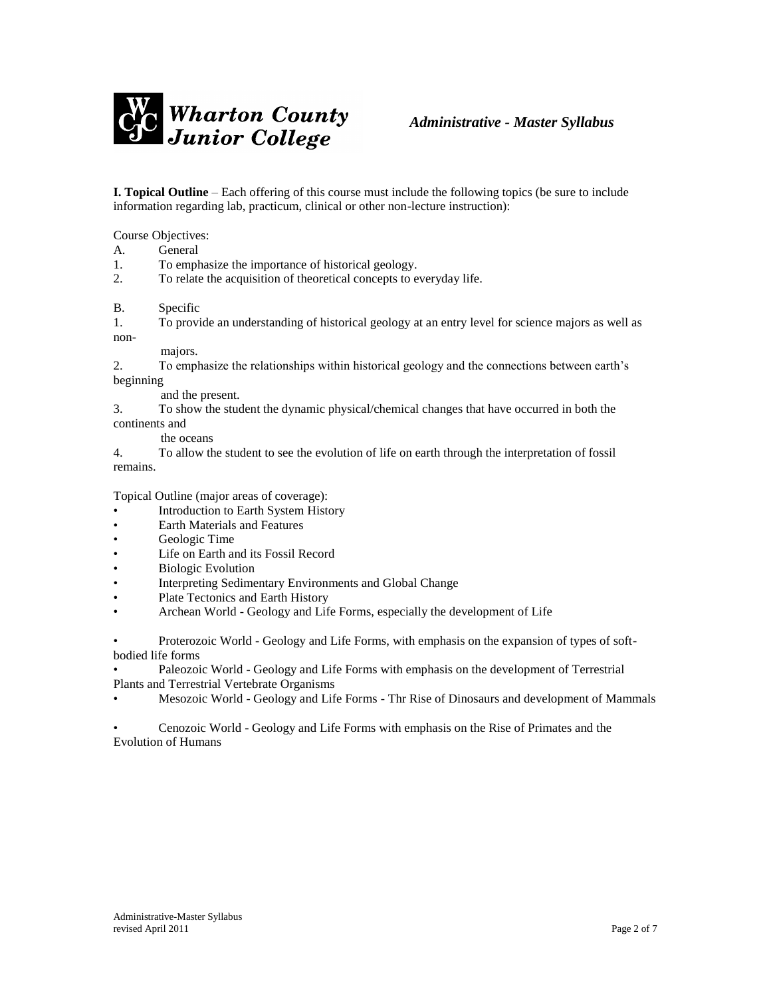

**I. Topical Outline** – Each offering of this course must include the following topics (be sure to include information regarding lab, practicum, clinical or other non-lecture instruction):

Course Objectives:

A. General

1. To emphasize the importance of historical geology.

2. To relate the acquisition of theoretical concepts to everyday life.

B. Specific

1. To provide an understanding of historical geology at an entry level for science majors as well as non-

#### majors.

2. To emphasize the relationships within historical geology and the connections between earth's beginning

and the present.

3. To show the student the dynamic physical/chemical changes that have occurred in both the continents and

the oceans

4. To allow the student to see the evolution of life on earth through the interpretation of fossil remains.

Topical Outline (major areas of coverage):

- Introduction to Earth System History
- Earth Materials and Features
- Geologic Time
- Life on Earth and its Fossil Record
- **Biologic Evolution**
- Interpreting Sedimentary Environments and Global Change
- Plate Tectonics and Earth History
- Archean World Geology and Life Forms, especially the development of Life

• Proterozoic World - Geology and Life Forms, with emphasis on the expansion of types of softbodied life forms

• Paleozoic World - Geology and Life Forms with emphasis on the development of Terrestrial Plants and Terrestrial Vertebrate Organisms

• Mesozoic World - Geology and Life Forms - Thr Rise of Dinosaurs and development of Mammals

• Cenozoic World - Geology and Life Forms with emphasis on the Rise of Primates and the Evolution of Humans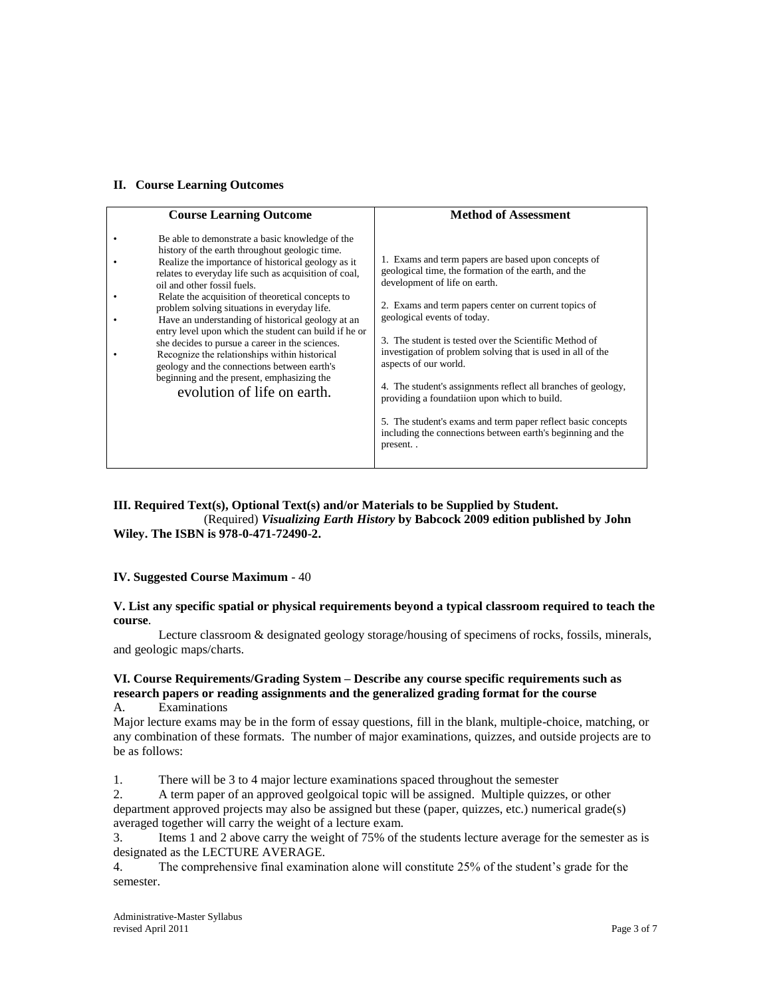#### **II. Course Learning Outcomes**

| <b>Course Learning Outcome</b>                                                                                                                                                                                                                                                                                                                                                                                                                                                                                                                                                                                                                                                                     | <b>Method of Assessment</b>                                                                                                                                                                                                                                                                                                                                                                                                                                                                                                                                                                                                                     |
|----------------------------------------------------------------------------------------------------------------------------------------------------------------------------------------------------------------------------------------------------------------------------------------------------------------------------------------------------------------------------------------------------------------------------------------------------------------------------------------------------------------------------------------------------------------------------------------------------------------------------------------------------------------------------------------------------|-------------------------------------------------------------------------------------------------------------------------------------------------------------------------------------------------------------------------------------------------------------------------------------------------------------------------------------------------------------------------------------------------------------------------------------------------------------------------------------------------------------------------------------------------------------------------------------------------------------------------------------------------|
| Be able to demonstrate a basic knowledge of the<br>history of the earth throughout geologic time.<br>Realize the importance of historical geology as it<br>relates to everyday life such as acquisition of coal,<br>oil and other fossil fuels.<br>Relate the acquisition of theoretical concepts to<br>problem solving situations in everyday life.<br>Have an understanding of historical geology at an<br>entry level upon which the student can build if he or<br>she decides to pursue a career in the sciences.<br>Recognize the relationships within historical<br>geology and the connections between earth's<br>beginning and the present, emphasizing the<br>evolution of life on earth. | 1. Exams and term papers are based upon concepts of<br>geological time, the formation of the earth, and the<br>development of life on earth.<br>2. Exams and term papers center on current topics of<br>geological events of today.<br>3. The student is tested over the Scientific Method of<br>investigation of problem solving that is used in all of the<br>aspects of our world.<br>4. The student's assignments reflect all branches of geology,<br>providing a foundation upon which to build.<br>5. The student's exams and term paper reflect basic concepts<br>including the connections between earth's beginning and the<br>present |

### **III. Required Text(s), Optional Text(s) and/or Materials to be Supplied by Student.** (Required) *Visualizing Earth History* **by Babcock 2009 edition published by John Wiley. The ISBN is 978-0-471-72490-2.**

#### **IV. Suggested Course Maximum** - 40

#### **V. List any specific spatial or physical requirements beyond a typical classroom required to teach the course**.

Lecture classroom & designated geology storage/housing of specimens of rocks, fossils, minerals, and geologic maps/charts.

#### **VI. Course Requirements/Grading System – Describe any course specific requirements such as research papers or reading assignments and the generalized grading format for the course** A. Examinations

Major lecture exams may be in the form of essay questions, fill in the blank, multiple-choice, matching, or any combination of these formats. The number of major examinations, quizzes, and outside projects are to be as follows:

1. There will be 3 to 4 major lecture examinations spaced throughout the semester

2. A term paper of an approved geolgoical topic will be assigned. Multiple quizzes, or other department approved projects may also be assigned but these (paper, quizzes, etc.) numerical grade(s) averaged together will carry the weight of a lecture exam.

3. Items 1 and 2 above carry the weight of 75% of the students lecture average for the semester as is designated as the LECTURE AVERAGE.

4. The comprehensive final examination alone will constitute 25% of the student's grade for the semester.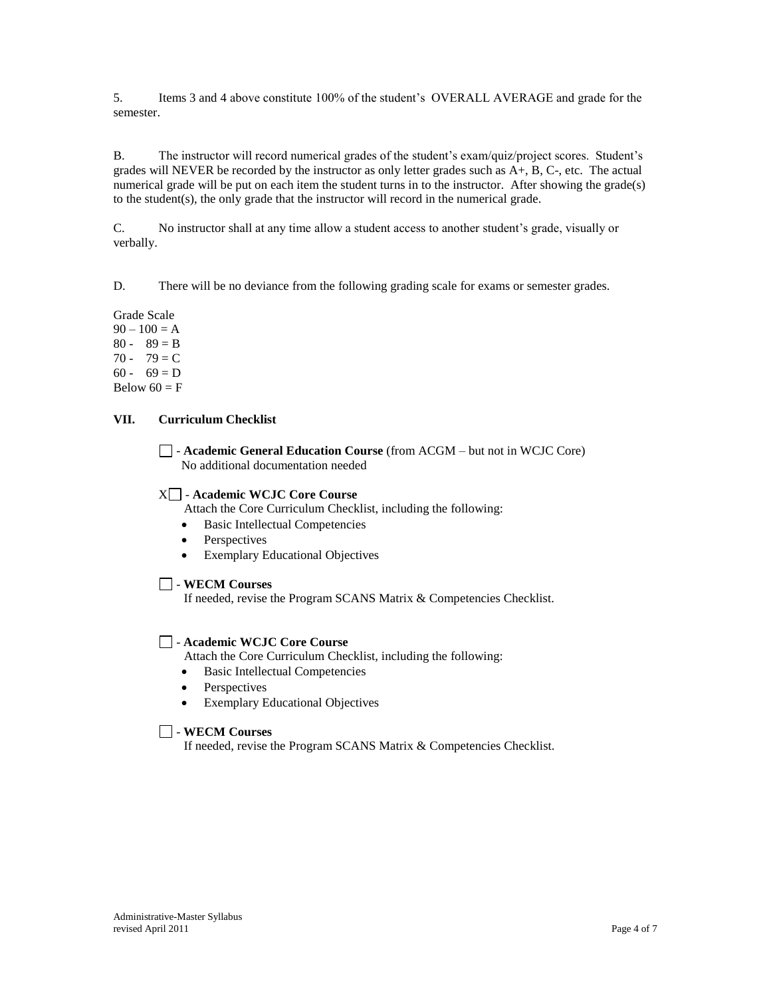5. Items 3 and 4 above constitute 100% of the student's OVERALL AVERAGE and grade for the semester.

B. The instructor will record numerical grades of the student's exam/quiz/project scores. Student's grades will NEVER be recorded by the instructor as only letter grades such as A+, B, C-, etc. The actual numerical grade will be put on each item the student turns in to the instructor. After showing the grade(s) to the student(s), the only grade that the instructor will record in the numerical grade.

C. No instructor shall at any time allow a student access to another student's grade, visually or verbally.

D. There will be no deviance from the following grading scale for exams or semester grades.

Grade Scale  $90 - 100 = A$  $80 - 89 = B$ 70 - 79 = C  $60 - 69 = D$ Below  $60 = F$ 

## **VII. Curriculum Checklist**

- **Academic General Education Course** (from ACGM – but not in WCJC Core) No additional documentation needed

## X - **Academic WCJC Core Course**

Attach the Core Curriculum Checklist, including the following:

- Basic Intellectual Competencies
- Perspectives
- Exemplary Educational Objectives

## - **WECM Courses**

If needed, revise the Program SCANS Matrix & Competencies Checklist.

## - **Academic WCJC Core Course**

Attach the Core Curriculum Checklist, including the following:

- Basic Intellectual Competencies
- Perspectives
- Exemplary Educational Objectives

## - **WECM Courses**

If needed, revise the Program SCANS Matrix & Competencies Checklist.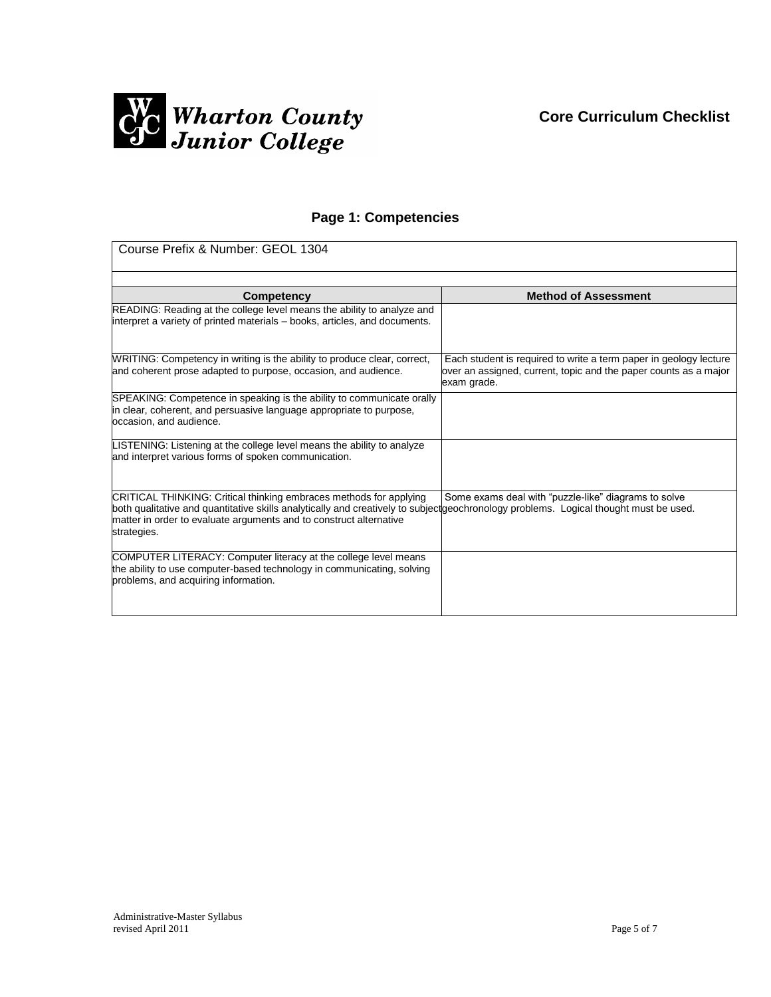

# **Page 1: Competencies**

| Course Prefix & Number: GEOL 1304                                                                                                                                                                                                                                                               |                                                                                                                                                      |  |
|-------------------------------------------------------------------------------------------------------------------------------------------------------------------------------------------------------------------------------------------------------------------------------------------------|------------------------------------------------------------------------------------------------------------------------------------------------------|--|
|                                                                                                                                                                                                                                                                                                 |                                                                                                                                                      |  |
| Competency                                                                                                                                                                                                                                                                                      | <b>Method of Assessment</b>                                                                                                                          |  |
| READING: Reading at the college level means the ability to analyze and<br>interpret a variety of printed materials - books, articles, and documents.                                                                                                                                            |                                                                                                                                                      |  |
| WRITING: Competency in writing is the ability to produce clear, correct,<br>and coherent prose adapted to purpose, occasion, and audience.                                                                                                                                                      | Each student is required to write a term paper in geology lecture<br>over an assigned, current, topic and the paper counts as a major<br>exam grade. |  |
| SPEAKING: Competence in speaking is the ability to communicate orally<br>in clear, coherent, and persuasive language appropriate to purpose,<br>occasion, and audience.                                                                                                                         |                                                                                                                                                      |  |
| LISTENING: Listening at the college level means the ability to analyze<br>and interpret various forms of spoken communication.                                                                                                                                                                  |                                                                                                                                                      |  |
| CRITICAL THINKING: Critical thinking embraces methods for applying<br>both qualitative and quantitative skills analytically and creatively to subjectgeochronology problems. Logical thought must be used.<br>matter in order to evaluate arguments and to construct alternative<br>strategies. | Some exams deal with "puzzle-like" diagrams to solve                                                                                                 |  |
| COMPUTER LITERACY: Computer literacy at the college level means<br>the ability to use computer-based technology in communicating, solving<br>problems, and acquiring information.                                                                                                               |                                                                                                                                                      |  |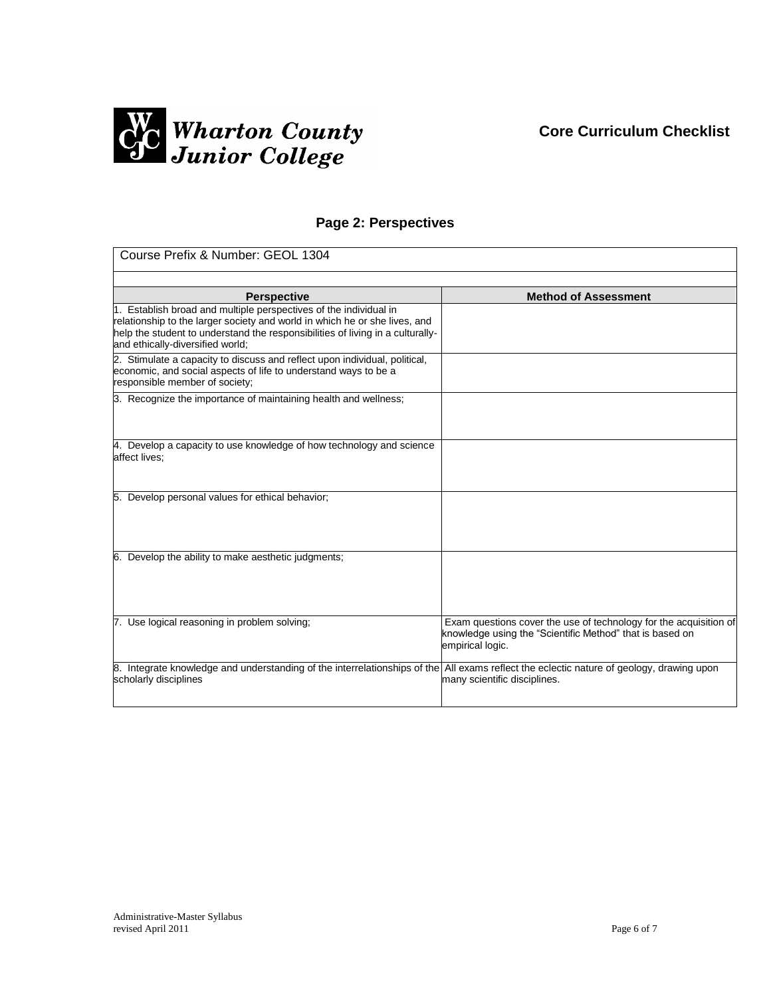# **Core Curriculum Checklist**



# **Page 2: Perspectives**

| Course Prefix & Number: GEOL 1304                                                                                                                                                                                                                                     |                                                                                                                                                   |  |  |
|-----------------------------------------------------------------------------------------------------------------------------------------------------------------------------------------------------------------------------------------------------------------------|---------------------------------------------------------------------------------------------------------------------------------------------------|--|--|
|                                                                                                                                                                                                                                                                       |                                                                                                                                                   |  |  |
| <b>Perspective</b>                                                                                                                                                                                                                                                    | <b>Method of Assessment</b>                                                                                                                       |  |  |
| 1. Establish broad and multiple perspectives of the individual in<br>relationship to the larger society and world in which he or she lives, and<br>help the student to understand the responsibilities of living in a culturally-<br>and ethically-diversified world; |                                                                                                                                                   |  |  |
| 2. Stimulate a capacity to discuss and reflect upon individual, political,<br>economic, and social aspects of life to understand ways to be a<br>responsible member of society;                                                                                       |                                                                                                                                                   |  |  |
| 3. Recognize the importance of maintaining health and wellness;                                                                                                                                                                                                       |                                                                                                                                                   |  |  |
| 4. Develop a capacity to use knowledge of how technology and science<br>affect lives:                                                                                                                                                                                 |                                                                                                                                                   |  |  |
| 5. Develop personal values for ethical behavior;                                                                                                                                                                                                                      |                                                                                                                                                   |  |  |
| 6. Develop the ability to make aesthetic judgments;                                                                                                                                                                                                                   |                                                                                                                                                   |  |  |
| 7. Use logical reasoning in problem solving;                                                                                                                                                                                                                          | Exam questions cover the use of technology for the acquisition of<br>knowledge using the "Scientific Method" that is based on<br>empirical logic. |  |  |
| 8. Integrate knowledge and understanding of the interrelationships of the All exams reflect the eclectic nature of geology, drawing upon<br>scholarly disciplines                                                                                                     | many scientific disciplines.                                                                                                                      |  |  |